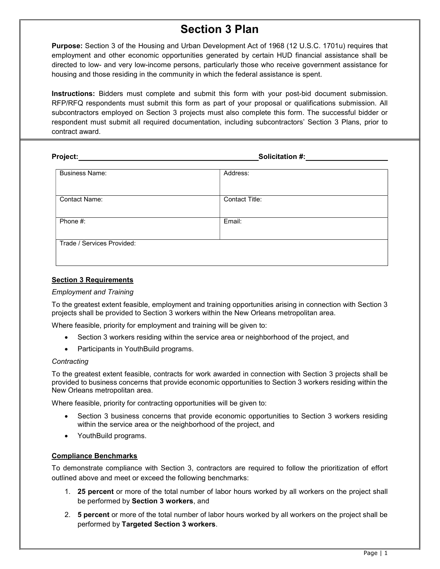# Section 3 Plan

Purpose: Section 3 of the Housing and Urban Development Act of 1968 (12 U.S.C. 1701u) requires that employment and other economic opportunities generated by certain HUD financial assistance shall be directed to low- and very low-income persons, particularly those who receive government assistance for housing and those residing in the community in which the federal assistance is spent.

Instructions: Bidders must complete and submit this form with your post-bid document submission. RFP/RFQ respondents must submit this form as part of your proposal or qualifications submission. All subcontractors employed on Section 3 projects must also complete this form. The successful bidder or respondent must submit all required documentation, including subcontractors' Section 3 Plans, prior to contract award.

| Project:                   | Solicitation #:       |  |
|----------------------------|-----------------------|--|
| <b>Business Name:</b>      | Address:              |  |
| <b>Contact Name:</b>       | <b>Contact Title:</b> |  |
| Phone #:                   | Email:                |  |
| Trade / Services Provided: |                       |  |

## Section 3 Requirements

#### Employment and Training

To the greatest extent feasible, employment and training opportunities arising in connection with Section 3 projects shall be provided to Section 3 workers within the New Orleans metropolitan area.

Where feasible, priority for employment and training will be given to:

- Section 3 workers residing within the service area or neighborhood of the project, and
- Participants in YouthBuild programs.

#### **Contracting**

To the greatest extent feasible, contracts for work awarded in connection with Section 3 projects shall be provided to business concerns that provide economic opportunities to Section 3 workers residing within the New Orleans metropolitan area.

Where feasible, priority for contracting opportunities will be given to:

- Section 3 business concerns that provide economic opportunities to Section 3 workers residing within the service area or the neighborhood of the project, and
- YouthBuild programs.

#### Compliance Benchmarks

To demonstrate compliance with Section 3, contractors are required to follow the prioritization of effort outlined above and meet or exceed the following benchmarks:

- 1. 25 percent or more of the total number of labor hours worked by all workers on the project shall be performed by Section 3 workers, and
- 2. **5 percent** or more of the total number of labor hours worked by all workers on the project shall be performed by Targeted Section 3 workers.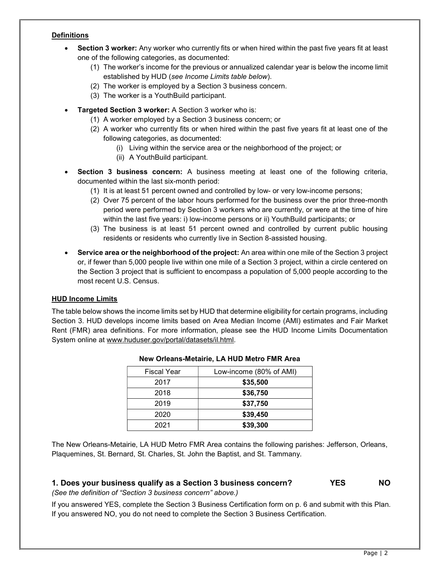## **Definitions**

- Section 3 worker: Any worker who currently fits or when hired within the past five years fit at least one of the following categories, as documented:
	- (1) The worker's income for the previous or annualized calendar year is below the income limit established by HUD (see Income Limits table below).
	- (2) The worker is employed by a Section 3 business concern.
	- (3) The worker is a YouthBuild participant.
- **Targeted Section 3 worker:** A Section 3 worker who is:
	- (1) A worker employed by a Section 3 business concern; or
	- (2) A worker who currently fits or when hired within the past five years fit at least one of the following categories, as documented:
		- (i) Living within the service area or the neighborhood of the project; or
		- (ii) A YouthBuild participant.
- Section 3 business concern: A business meeting at least one of the following criteria, documented within the last six-month period:
	- (1) It is at least 51 percent owned and controlled by low- or very low-income persons;
	- (2) Over 75 percent of the labor hours performed for the business over the prior three-month period were performed by Section 3 workers who are currently, or were at the time of hire within the last five years: i) low-income persons or ii) YouthBuild participants; or
	- (3) The business is at least 51 percent owned and controlled by current public housing residents or residents who currently live in Section 8-assisted housing.
- Service area or the neighborhood of the project: An area within one mile of the Section 3 project or, if fewer than 5,000 people live within one mile of a Section 3 project, within a circle centered on the Section 3 project that is sufficient to encompass a population of 5,000 people according to the most recent U.S. Census.

# HUD Income Limits

The table below shows the income limits set by HUD that determine eligibility for certain programs, including Section 3. HUD develops income limits based on Area Median Income (AMI) estimates and Fair Market Rent (FMR) area definitions. For more information, please see the HUD Income Limits Documentation System online at www.huduser.gov/portal/datasets/il.html.

| <b>Fiscal Year</b> | Low-income (80% of AMI) |
|--------------------|-------------------------|
| 2017               | \$35,500                |
| 2018               | \$36,750                |
| 2019               | \$37,750                |
| 2020               | \$39,450                |
| 2021               | \$39,300                |

## New Orleans-Metairie, LA HUD Metro FMR Area

The New Orleans-Metairie, LA HUD Metro FMR Area contains the following parishes: Jefferson, Orleans, Plaquemines, St. Bernard, St. Charles, St. John the Baptist, and St. Tammany.

# 1. Does your business qualify as a Section 3 business concern? YES NO

(See the definition of "Section 3 business concern" above.)

If you answered YES, complete the Section 3 Business Certification form on p. 6 and submit with this Plan. If you answered NO, you do not need to complete the Section 3 Business Certification.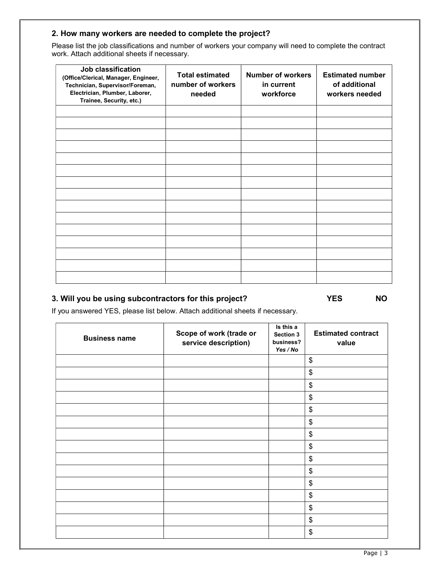# 2. How many workers are needed to complete the project?

Please list the job classifications and number of workers your company will need to complete the contract work. Attach additional sheets if necessary.

| Job classification<br>(Office/Clerical, Manager, Engineer,<br>Technician, Supervisor/Foreman,<br>Electrician, Plumber, Laborer,<br>Trainee, Security, etc.) | <b>Total estimated</b><br>number of workers<br>needed | <b>Number of workers</b><br>in current<br>workforce | <b>Estimated number</b><br>of additional<br>workers needed |
|-------------------------------------------------------------------------------------------------------------------------------------------------------------|-------------------------------------------------------|-----------------------------------------------------|------------------------------------------------------------|
|                                                                                                                                                             |                                                       |                                                     |                                                            |
|                                                                                                                                                             |                                                       |                                                     |                                                            |
|                                                                                                                                                             |                                                       |                                                     |                                                            |
|                                                                                                                                                             |                                                       |                                                     |                                                            |
|                                                                                                                                                             |                                                       |                                                     |                                                            |
|                                                                                                                                                             |                                                       |                                                     |                                                            |
|                                                                                                                                                             |                                                       |                                                     |                                                            |
|                                                                                                                                                             |                                                       |                                                     |                                                            |
|                                                                                                                                                             |                                                       |                                                     |                                                            |
|                                                                                                                                                             |                                                       |                                                     |                                                            |
|                                                                                                                                                             |                                                       |                                                     |                                                            |
|                                                                                                                                                             |                                                       |                                                     |                                                            |
|                                                                                                                                                             |                                                       |                                                     |                                                            |
|                                                                                                                                                             |                                                       |                                                     |                                                            |
|                                                                                                                                                             |                                                       |                                                     |                                                            |

# 3. Will you be using subcontractors for this project? The YES NO

If you answered YES, please list below. Attach additional sheets if necessary.

| <b>Business name</b> | Scope of work (trade or<br>service description) | Is this a<br>Section 3<br>business?<br>Yes / No | <b>Estimated contract</b><br>value |
|----------------------|-------------------------------------------------|-------------------------------------------------|------------------------------------|
|                      |                                                 |                                                 | \$                                 |
|                      |                                                 |                                                 | \$                                 |
|                      |                                                 |                                                 | \$                                 |
|                      |                                                 |                                                 | \$                                 |
|                      |                                                 |                                                 | \$                                 |
|                      |                                                 |                                                 | \$                                 |
|                      |                                                 |                                                 | \$                                 |
|                      |                                                 |                                                 | \$                                 |
|                      |                                                 |                                                 | \$                                 |
|                      |                                                 |                                                 | \$                                 |
|                      |                                                 |                                                 | \$                                 |
|                      |                                                 |                                                 | \$                                 |
|                      |                                                 |                                                 | \$                                 |
|                      |                                                 |                                                 | \$                                 |
|                      |                                                 |                                                 | \$                                 |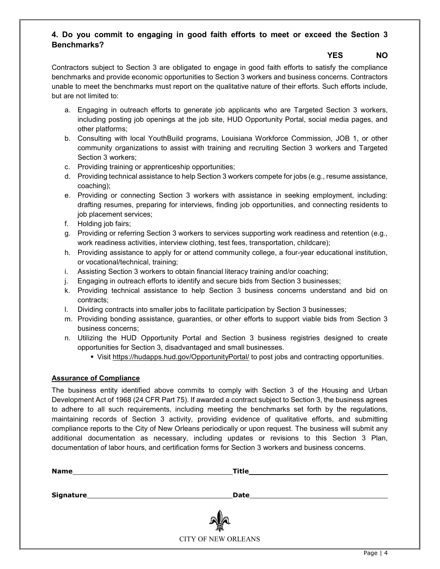# 4. Do you commit to engaging in good faith efforts to meet or exceed the Section 3 Benchmarks?

# YES NO

Contractors subject to Section 3 are obligated to engage in good faith efforts to satisfy the compliance benchmarks and provide economic opportunities to Section 3 workers and business concerns. Contractors unable to meet the benchmarks must report on the qualitative nature of their efforts. Such efforts include, but are not limited to:

- a. Engaging in outreach efforts to generate job applicants who are Targeted Section 3 workers, including posting job openings at the job site, HUD Opportunity Portal, social media pages, and other platforms;
- b. Consulting with local YouthBuild programs, Louisiana Workforce Commission, JOB 1, or other community organizations to assist with training and recruiting Section 3 workers and Targeted Section 3 workers;
- c. Providing training or apprenticeship opportunities;
- d. Providing technical assistance to help Section 3 workers compete for jobs (e.g., resume assistance, coaching);
- e. Providing or connecting Section 3 workers with assistance in seeking employment, including: drafting resumes, preparing for interviews, finding job opportunities, and connecting residents to job placement services;
- f. Holding job fairs;
- g. Providing or referring Section 3 workers to services supporting work readiness and retention (e.g., work readiness activities, interview clothing, test fees, transportation, childcare);
- h. Providing assistance to apply for or attend community college, a four-year educational institution, or vocational/technical, training;
- i. Assisting Section 3 workers to obtain financial literacy training and/or coaching;
- j. Engaging in outreach efforts to identify and secure bids from Section 3 businesses;
- k. Providing technical assistance to help Section 3 business concerns understand and bid on contracts;
- l. Dividing contracts into smaller jobs to facilitate participation by Section 3 businesses;
- m. Providing bonding assistance, guaranties, or other efforts to support viable bids from Section 3 business concerns;
- n. Utilizing the HUD Opportunity Portal and Section 3 business registries designed to create opportunities for Section 3, disadvantaged and small businesses.
	- Visit https://hudapps.hud.gov/OpportunityPortal/ to post jobs and contracting opportunities.

## Assurance of Compliance

The business entity identified above commits to comply with Section 3 of the Housing and Urban Development Act of 1968 (24 CFR Part 75). If awarded a contract subject to Section 3, the business agrees to adhere to all such requirements, including meeting the benchmarks set forth by the regulations, maintaining records of Section 3 activity, providing evidence of qualitative efforts, and submitting compliance reports to the City of New Orleans periodically or upon request. The business will submit any additional documentation as necessary, including updates or revisions to this Section 3 Plan, documentation of labor hours, and certification forms for Section 3 workers and business concerns.

| <b>Name</b>      | <b>Title</b>               |  |
|------------------|----------------------------|--|
|                  | Date                       |  |
| <b>Signature</b> |                            |  |
|                  | <b>The</b>                 |  |
|                  | <b>CITY OF NEW ORLEANS</b> |  |